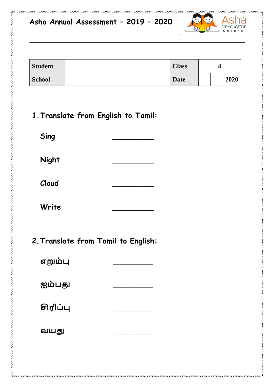| Asha<br>$\left(\bigcup\right)$<br>$\mathbb{C}$<br>Asha Annual Assessment - 2019 - 2020<br>for Education<br>Chennai |  |              |      |  |  |  |  |
|--------------------------------------------------------------------------------------------------------------------|--|--------------|------|--|--|--|--|
|                                                                                                                    |  |              |      |  |  |  |  |
| <b>Student</b>                                                                                                     |  | <b>Class</b> |      |  |  |  |  |
| <b>School</b>                                                                                                      |  | <b>Date</b>  | 2020 |  |  |  |  |

**1.Translate from English to Tamil:**

EN KANANAN KANANAN KANANAN KANANAN KANAN KANANAN KANAN KANAN KANAN KANAN KANAN KANAN KANAN KANAN KANAN KANAN KANAN

**Sing \_\_\_\_\_\_\_\_\_ Night \_\_\_\_\_\_\_\_\_ Cloud \_\_\_\_\_\_\_\_\_ Write \_\_\_\_\_\_\_\_\_**

的复数人名英格兰人名英格兰人姓氏英格兰人姓氏英格兰人姓氏英格兰人姓氏英格兰人姓氏英格兰人姓氏英格兰人姓氏英格兰人姓氏英格兰人姓氏英格兰人姓氏英格兰人姓氏英格兰人姓氏英格兰人姓氏英格兰人姓氏英格兰人姓氏英格兰人姓氏英格兰人姓氏英格兰人姓氏英格兰人姓氏英格兰人姓氏英格兰人姓氏英格兰人姓氏英格兰人姓氏法来源于古英语含义是古英语含义是英格兰人姓氏英格兰人姓氏英格兰人姓氏英格兰人姓氏英格兰人姓氏英格兰人姓氏英格兰人姓氏法来源于古英语含义是

**2.Translate from Tamil to English:**

**எறும்பு \_\_\_\_\_\_\_\_\_\_\_\_\_ ஐம்பது \_\_\_\_\_\_\_\_\_\_\_\_\_ சிரிப்பு \_\_\_\_\_\_\_\_\_\_\_\_\_ வயது \_\_\_\_\_\_\_\_\_\_\_\_\_**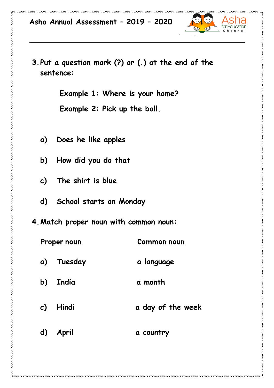| Asha Annual Assessment - 2019 - 2020 |  |
|--------------------------------------|--|
|--------------------------------------|--|



**3.Put a question mark (?) or (.) at the end of the sentence:**

 **Example 1: Where is your home?**

 **Example 2: Pick up the ball.**

- **a) Does he like apples**
- **b) How did you do that**
- **c) The shirt is blue**

- **d) School starts on Monday**
- **4.Match proper noun with common noun:**

| <b>Proper noun</b> |         | <b>Common noun</b> |  |
|--------------------|---------|--------------------|--|
| $\mathbf{a}$       | Tuesday | a language         |  |
| b)                 | India   | a month            |  |
| $\mathsf{c})$      | Hindi   | a day of the week  |  |
| d)                 | April   | a country          |  |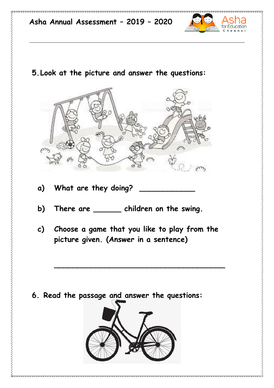